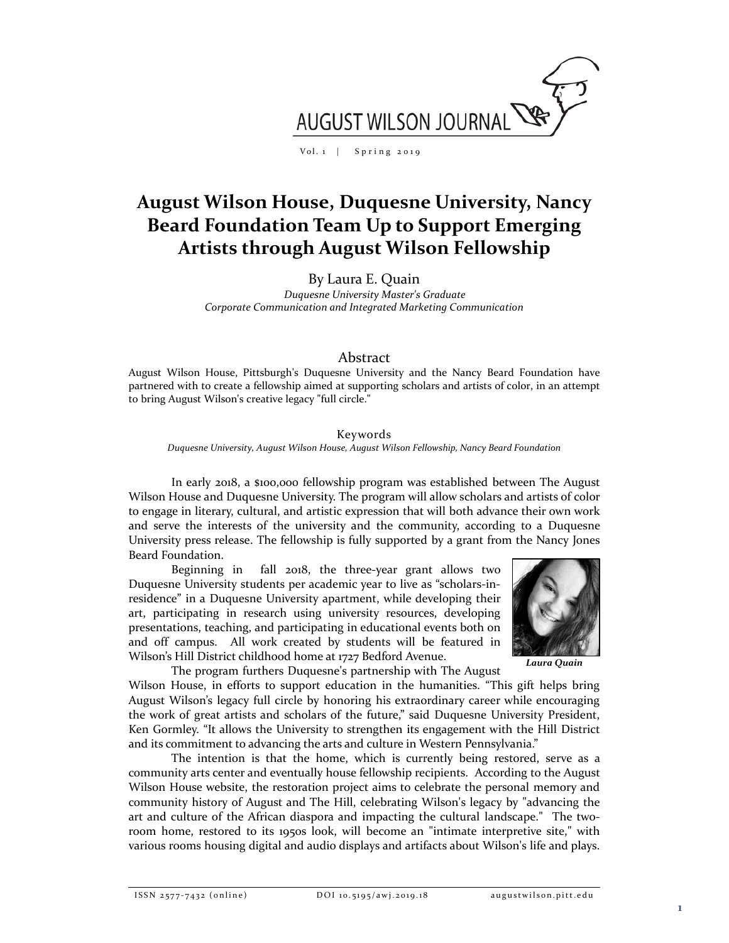

Vol. 1 | Spring 2019

# **August Wilson House, Duquesne University, Nancy Beard Foundation Team Up to Support Emerging Artists through August Wilson Fellowship**

By Laura E. Quain

*Duquesne University Master's Graduate Corporate Communication and Integrated Marketing Communication*

### Abstract

August Wilson House, Pittsburgh's Duquesne University and the Nancy Beard Foundation have partnered with to create a fellowship aimed at supporting scholars and artists of color, in an attempt to bring August Wilson's creative legacy "full circle."

#### Keywords

*Duquesne University, August Wilson House, August Wilson Fellowship, Nancy Beard Foundation*

In early 2018, a \$100,000 fellowship program was established between The August Wilson House and Duquesne University. The program will allow scholars and artists of color to engage in literary, cultural, and artistic expression that will both advance their own work and serve the interests of the university and the community, according to a Duquesne University press release. The fellowship is fully supported by a grant from the Nancy Jones Beard Foundation.

Beginning in fall 2018, the three-year grant allows two Duquesne University students per academic year to live as "scholars-inresidence" in a Duquesne University apartment, while developing their art, participating in research using university resources, developing presentations, teaching, and participating in educational events both on and off campus. All work created by students will be featured in Wilson's Hill District childhood home at 1727 Bedford Avenue.



*Laura Quain*

The program furthers Duquesne's partnership with The August

Wilson House, in efforts to support education in the humanities. "This gift helps bring August Wilson's legacy full circle by honoring his extraordinary career while encouraging the work of great artists and scholars of the future," said Duquesne University President, Ken Gormley. "It allows the University to strengthen its engagement with the Hill District and its commitment to advancing the arts and culture in Western Pennsylvania."

The intention is that the home, which is currently being restored, serve as a community arts center and eventually house fellowship recipients. According to the August Wilson House website, the restoration project aims to celebrate the personal memory and community history of August and The Hill, celebrating Wilson's legacy by "advancing the art and culture of the African diaspora and impacting the cultural landscape." The tworoom home, restored to its 1950s look, will become an "intimate interpretive site," with various rooms housing digital and audio displays and artifacts about Wilson's life and plays.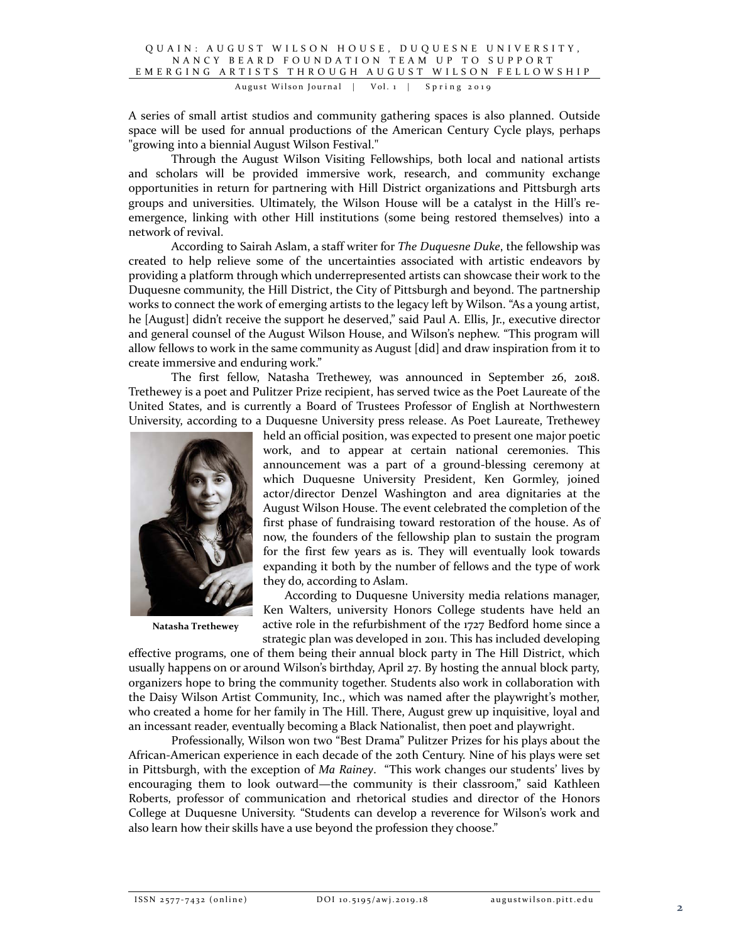August Wilson Journal | Vol. 1 | Spring 2019

A series of small artist studios and community gathering spaces is also planned. Outside space will be used for annual productions of the American Century Cycle plays, perhaps "growing into a biennial August Wilson Festival."

Through the August Wilson Visiting Fellowships, both local and national artists and scholars will be provided immersive work, research, and community exchange opportunities in return for partnering with Hill District organizations and Pittsburgh arts groups and universities. Ultimately, the Wilson House will be a catalyst in the Hill's reemergence, linking with other Hill institutions (some being restored themselves) into a network of revival.

According to Sairah Aslam, a staff writer for *The Duquesne Duke*, the fellowship was created to help relieve some of the uncertainties associated with artistic endeavors by providing a platform through which underrepresented artists can showcase their work to the Duquesne community, the Hill District, the City of Pittsburgh and beyond. The partnership works to connect the work of emerging artists to the legacy left by Wilson. "As a young artist, he [August] didn't receive the support he deserved," said Paul A. Ellis, Jr., executive director and general counsel of the August Wilson House, and Wilson's nephew. "This program will allow fellows to work in the same community as August [did] and draw inspiration from it to create immersive and enduring work."

The first fellow, Natasha Trethewey, was announced in September 26, 2018. Trethewey is a poet and Pulitzer Prize recipient, has served twice as the Poet Laureate of the United States, and is currently a Board of Trustees Professor of English at Northwestern University, according to a Duquesne University press release. As Poet Laureate, Trethewey



**Natasha Trethewey**

held an official position, was expected to present one major poetic work, and to appear at certain national ceremonies. This announcement was a part of a ground-blessing ceremony at which Duquesne University President, Ken Gormley, joined actor/director Denzel Washington and area dignitaries at the August Wilson House. The event celebrated the completion of the first phase of fundraising toward restoration of the house. As of now, the founders of the fellowship plan to sustain the program for the first few years as is. They will eventually look towards expanding it both by the number of fellows and the type of work they do, according to Aslam.

According to Duquesne University media relations manager, Ken Walters, university Honors College students have held an active role in the refurbishment of the 1727 Bedford home since a strategic plan was developed in 2011. This has included developing

effective programs, one of them being their annual block party in The Hill District, which usually happens on or around Wilson's birthday, April 27. By hosting the annual block party, organizers hope to bring the community together. Students also work in collaboration with the Daisy Wilson Artist Community, Inc., which was named after the playwright's mother, who created a home for her family in The Hill. There, August grew up inquisitive, loyal and an incessant reader, eventually becoming a Black Nationalist, then poet and playwright.

Professionally, Wilson won two "Best Drama" Pulitzer Prizes for his plays about the African-American experience in each decade of the 20th Century. Nine of his plays were set in Pittsburgh, with the exception of *Ma Rainey*. "This work changes our students' lives by encouraging them to look outward—the community is their classroom," said Kathleen Roberts, professor of communication and rhetorical studies and director of the Honors College at Duquesne University. "Students can develop a reverence for Wilson's work and also learn how their skills have a use beyond the profession they choose."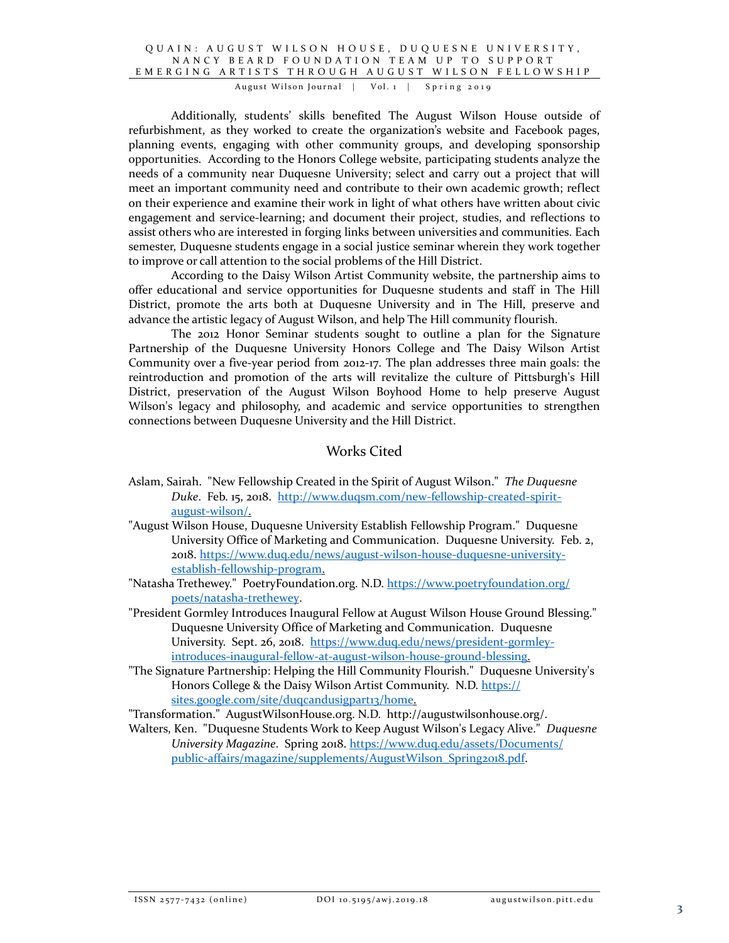#### QUAIN: AUGUST WILSON HOUSE, DUQUESNE UNIVERSITY, NANCY BEARD FOUNDATION TEAM UP TO SUPPORT EMERGING ARTISTS TH ROUGH AUGUST WILSON FELLOWSHIP

August Wilson Journal | Vol. 1 | Spring 2019

Additionally, students' skills benefited The August Wilson House outside of refurbishment, as they worked to create the organization's website and Facebook pages, planning events, engaging with other community groups, and developing sponsorship opportunities. According to the Honors College website, participating students analyze the needs of a community near Duquesne University; select and carry out a project that will meet an important community need and contribute to their own academic growth; reflect on their experience and examine their work in light of what others have written about civic engagement and service-learning; and document their project, studies, and reflections to assist others who are interested in forging links between universities and communities. Each semester, Duquesne students engage in a social justice seminar wherein they work together to improve or call attention to the social problems of the Hill District.

According to the Daisy Wilson Artist Community website, the partnership aims to offer educational and service opportunities for Duquesne students and staff in The Hill District, promote the arts both at Duquesne University and in The Hill, preserve and advance the artistic legacy of August Wilson, and help The Hill community flourish.

The 2012 Honor Seminar students sought to outline a plan for the Signature Partnership of the Duquesne University Honors College and The Daisy Wilson Artist Community over a five-year period from 2012-17. The plan addresses three main goals: the reintroduction and promotion of the arts will revitalize the culture of Pittsburgh's Hill District, preservation of the August Wilson Boyhood Home to help preserve August Wilson's legacy and philosophy, and academic and service opportunities to strengthen connections between Duquesne University and the Hill District.

# Works Cited

- Aslam, Sairah. "New Fellowship Created in the Spirit of August Wilson." *The Duquesne Duke*. Feb. 15, 2018. [http://www.duqsm.com/new-fellowship-created-spirit](http://www.duqsm.com/new-fellowship-created-spirit-august-wilson/)[august-wilson/.](http://www.duqsm.com/new-fellowship-created-spirit-august-wilson/)
- "August Wilson House, Duquesne University Establish Fellowship Program." Duquesne University Office of Marketing and Communication. Duquesne University. Feb. 2, 2018. [https://www.duq.edu/news/august-wilson-house-duquesne-university](https://www.duq.edu/news/august-wilson-house-duquesne-university-establish-fellowship-program)[establish-fellowship-program.](https://www.duq.edu/news/august-wilson-house-duquesne-university-establish-fellowship-program)
- "Natasha Trethewey." PoetryFoundation.org. N.D. [https://www.poetryfoundation.org/](https://www.poetryfoundation.org/%20poets/natasha-trethewey)  [poets/natasha-trethewey.](https://www.poetryfoundation.org/%20poets/natasha-trethewey)
- "President Gormley Introduces Inaugural Fellow at August Wilson House Ground Blessing." Duquesne University Office of Marketing and Communication. Duquesne University. Sept. 26, 2018. [https://www.duq.edu/news/president-gormley](https://www.duq.edu/news/president-gormley-introduces-inaugural-fellow-at-august-wilson-house-ground-blessing)[introduces-inaugural-fellow-at-august-wilson-house-ground-blessing.](https://www.duq.edu/news/president-gormley-introduces-inaugural-fellow-at-august-wilson-house-ground-blessing)
- "The Signature Partnership: Helping the Hill Community Flourish." Duquesne University's Honors College & the Daisy Wilson Artist Community. N.D. https:// sites.google.com/site/duqcandusigpart13/home.

"Transformation." AugustWilsonHouse.org. N.D. http://augustwilsonhouse.org/.

Walters, Ken. "Duquesne Students Work to Keep August Wilson's Legacy Alive." *Duquesne University Magazine*. Spring 2018. [https://www.duq.edu/assets/Documents/](https://www.duq.edu/assets/Documents/%20public-affairs/magazine/supplements/AugustWilson_Spring2018.pdf)  [public-affairs/magazine/supplements/AugustWilson\\_Spring2018.pdf.](https://www.duq.edu/assets/Documents/%20public-affairs/magazine/supplements/AugustWilson_Spring2018.pdf)